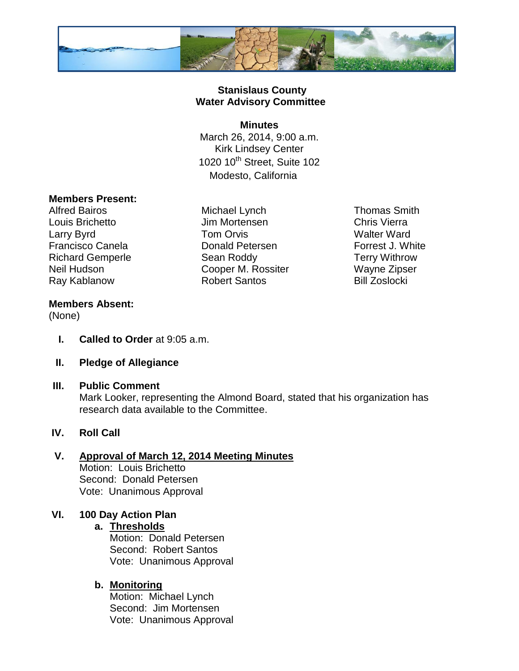

## **Stanislaus County Water Advisory Committee**

#### **Minutes**

March 26, 2014, 9:00 a.m. Kirk Lindsey Center 1020 10<sup>th</sup> Street, Suite 102 Modesto, California

## **Members Present:**

Alfred Bairos **Michael Lynch** Thomas Smith

Louis Brichetto Jim Mortensen Chris Vierra Larry Byrd **Tom Orvis** Christian Malter Ward Francisco Canela **Donald Petersen** Forrest J. White Richard Gemperle **Sean Roddy** Terry Withrow Neil Hudson **Neil Hudson** Cooper M. Rossiter Wayne Zipser Ray Kablanow **Robert Santos** Bill Zoslocki

## **Members Absent:**

(None)

- **I. Called to Order** at 9:05 a.m.
- **II. Pledge of Allegiance**
- **III. Public Comment**

Mark Looker, representing the Almond Board, stated that his organization has research data available to the Committee.

# **IV. Roll Call**

# **V. Approval of March 12, 2014 Meeting Minutes**

Motion: Louis Brichetto Second: Donald Petersen Vote: Unanimous Approval

# **VI. 100 Day Action Plan**

### **a. Thresholds**

Motion: Donald Petersen Second: Robert Santos Vote: Unanimous Approval

# **b. Monitoring**

Motion: Michael Lynch Second: Jim Mortensen Vote: Unanimous Approval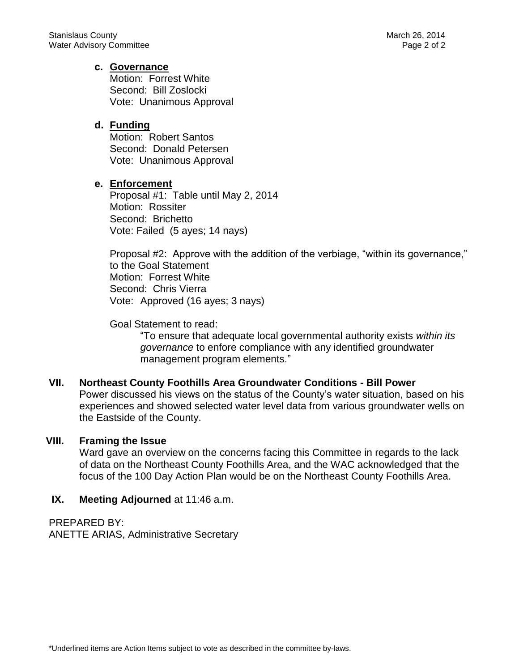#### **c. Governance**

Motion: Forrest White Second: Bill Zoslocki Vote: Unanimous Approval

#### **d. Funding**

Motion: Robert Santos Second: Donald Petersen Vote: Unanimous Approval

#### **e. Enforcement**

Proposal #1: Table until May 2, 2014 Motion: Rossiter Second: Brichetto Vote: Failed (5 ayes; 14 nays)

Proposal #2: Approve with the addition of the verbiage, "within its governance," to the Goal Statement Motion: Forrest White Second: Chris Vierra Vote: Approved (16 ayes; 3 nays)

Goal Statement to read:

"To ensure that adequate local governmental authority exists *within its governance* to enfore compliance with any identified groundwater management program elements."

#### **VII. Northeast County Foothills Area Groundwater Conditions - Bill Power** Power discussed his views on the status of the County's water situation, based on his experiences and showed selected water level data from various groundwater wells on the Eastside of the County.

#### **VIII. Framing the Issue**

Ward gave an overview on the concerns facing this Committee in regards to the lack of data on the Northeast County Foothills Area, and the WAC acknowledged that the focus of the 100 Day Action Plan would be on the Northeast County Foothills Area.

### **IX.** Meeting Adjourned at 11:46 a.m.

PREPARED BY: ANETTE ARIAS, Administrative Secretary